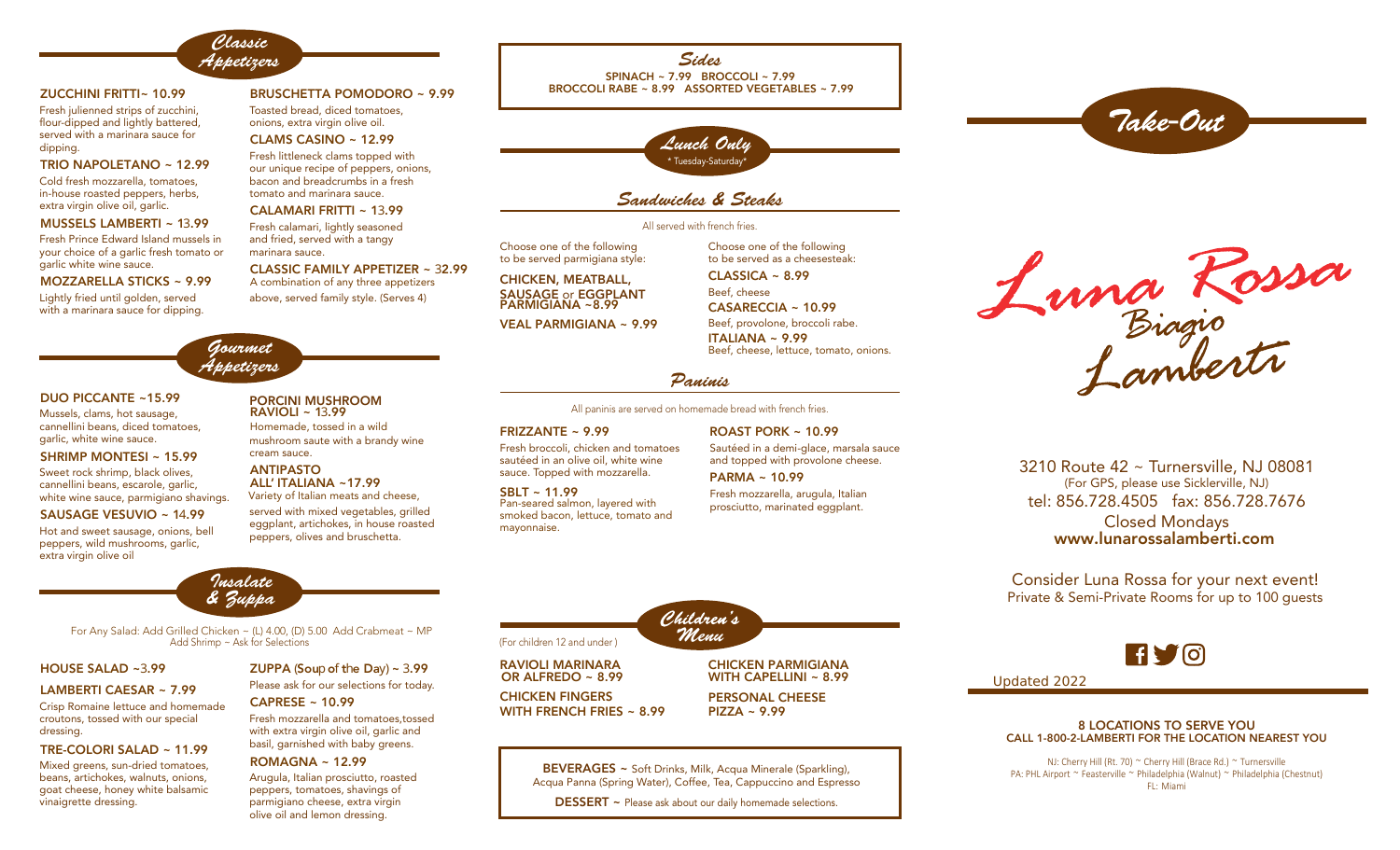

Gourmet Appetizers

### ZUCCHINI FRITTI~ 10.99

Fresh julienned strips of zucchini, flour-dipped and lightly battered, served with a marinara sauce for dipping.

### TRIO NAPOLETANO ~ 12.99

Cold fresh mozzarella, tomatoes, in-house roasted peppers, herbs, extra virgin olive oil, garlic.

### MUSSELS LAMBERTI ~ 13.99

Fresh Prince Edward Island mussels in your choice of a garlic fresh tomato or garlic white wine sauce.

### MOZZARELLA STICKS ~ 9.99

Lightly fried until golden, served with a marinara sauce for dipping.

### BRUSCHETTA POMODORO ~ 9.99

Toasted bread, diced tomatoes, onions, extra virgin olive oil.

### CLAMS CASINO ~ 12.99

Fresh littleneck clams topped with our unique recipe of peppers, onions, bacon and breadcrumbs in a fresh tomato and marinara sauce.

### CALAMARI FRITTI ~ 13.99

Fresh calamari, lightly seasoned and fried, served with a tangy marinara sauce.

### CLASSIC FAMILY APPETIZER ~ 32.99

above, served family style. (Serves 4) A combination of any three appetizers

# BROCCOLI RABE ~ 8.99 ASSORTED VEGETABLES ~ 7.99

Sides

 $SPINACH \approx 7.99$  BROCCOLL ~ 7.99



## Sandwiches & Steaks

### All served with french fries.

Choose one of the following to be served parmigiana style:

CHICKEN, MEATBALL, SAUSAGE or EGGPLANT PARMIGIANA ~8.99

VEAL PARMIGIANA ~ 9.99

Choose one of the following to be served as a cheesesteak: Beef, cheese Beef, provolone, broccoli rabe.  $CI$  ASSICA  $\sim$  8.99 CASARECCIA ~ 10.99 ITALIANA ~ 9.99

Beef, cheese, lettuce, tomato, onions.

### Paninis

All paninis are served on homemade bread with french fries.

### FRIZZANTE ~ 9.99 ROAST PORK ~ 10.99

Fresh broccoli, chicken and tomatoes sautéed in an olive oil, white wine sauce. Topped with mozzarella. PARMA ~ 10.99 ANTIPASTO

#### Pan-seared salmon, layered with smoked bacon, lettuce, tomato and mayonnaise. SBLT ~ 11.99



Fresh mozzarella, arugula, Italian prosciutto, marinated eggplant.



Take-Out

3210 Route 42 ~ Turnersville, NJ 08081 (For GPS, please use Sicklerville, NJ) tel: 856.728.4505 fax: 856.728.7676 Closed Mondays www.lunarossalamberti.com

Consider Luna Rossa for your next event! Private & Semi-Private Rooms for up to 100 guests

## **RYO**

Updated 2022

### 8 LOCATIONS TO SERVE YOU CALL 1-800-2-LAMBERTI FOR THE LOCATION NEAREST YOU

NJ: Cherry Hill (Rt. 70) ~ Cherry Hill (Brace Rd.) ~ Turnersville PA: PHL Airport ~ Feasterville ~ Philadelphia (Walnut) ~ Philadelphia (Chestnut) FL: Miami

### DUO PICCANTE ~15.99

Mussels, clams, hot sausage, cannellini beans, diced tomatoes, garlic, white wine sauce.

SHRIMP MONTESI ~ 15.99

Sweet rock shrimp, black olives, cannellini beans, escarole, garlic, white wine sauce, parmigiano shavings.

### SAUSAGE VESUVIO ~ 14.99

Hot and sweet sausage, onions, bell peppers, wild mushrooms, garlic, extra virgin olive oil



## ALL' ITALIANA ~17.99

served with mixed vegetables, grilled eggplant, artichokes, in house roasted peppers, olives and bruschetta. Variety of Italian meats and cheese,



Add Shrimp ~ Ask for Selections For Any Salad: Add Grilled Chicken ~ (L) 4.00, (D) 5.00 Add Crabmeat ~ MP

### HOUSE SALAD ~3.99

### LAMBERTI CAESAR ~ 7.99

Crisp Romaine lettuce and homemade croutons, tossed with our special dressing.

### TRE-COLORI SALAD ~ 11.99

Mixed greens, sun-dried tomatoes, beans, artichokes, walnuts, onions, goat cheese, honey white balsamic vinaigrette dressing.

### Please ask for our selections for today. ZUPPA (Soup of the Day)  $\sim$  3.99

Fresh mozzarella and tomatoes,tossed with extra virgin olive oil, garlic and basil, garnished with baby greens. CAPRESE ~ 10.99

### ROMAGNA ~ 12.99

Arugula, Italian prosciutto, roasted peppers, tomatoes, shavings of parmigiano cheese, extra virgin olive oil and lemon dressing.

For children 12 and under ) **Menu** RAVIOLI MARINARA CHICKEN FINGERS CHICKEN PARMIGIANA PERSONAL CHEESE OR ALFREDO ~ 8.99 WITH FRENCH FRIES ~ 8.99 WITH CAPELLINI ~ 8.99 PIZZA ~ 9.99

Children's

BEVERAGES ~ Soft Drinks, Milk, Acqua Minerale (Sparkling), Acqua Panna (Spring Water), Coffee, Tea, Cappuccino and Espresso

DESSERT ~ Please ask about our daily homemade selections.